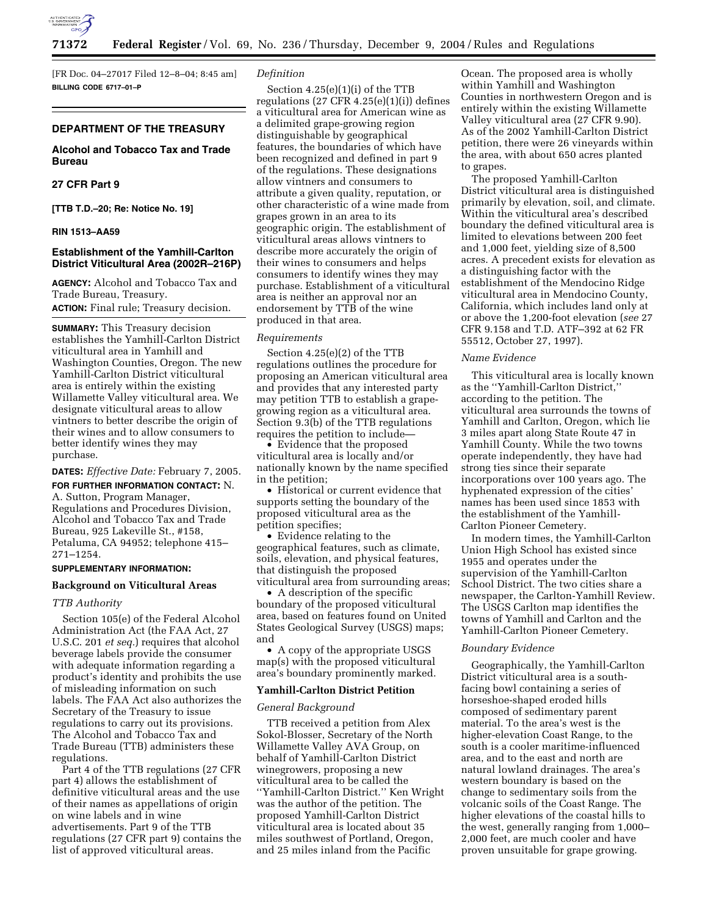

[FR Doc. 04–27017 Filed 12–8–04; 8:45 am] **BILLING CODE 6717–01–P**

# **DEPARTMENT OF THE TREASURY**

# **Alcohol and Tobacco Tax and Trade Bureau**

# **27 CFR Part 9**

**[TTB T.D.–20; Re: Notice No. 19]** 

### **RIN 1513–AA59**

## **Establishment of the Yamhill-Carlton District Viticultural Area (2002R–216P)**

**AGENCY:** Alcohol and Tobacco Tax and Trade Bureau, Treasury.

**ACTION:** Final rule; Treasury decision.

**SUMMARY:** This Treasury decision establishes the Yamhill-Carlton District viticultural area in Yamhill and Washington Counties, Oregon. The new Yamhill-Carlton District viticultural area is entirely within the existing Willamette Valley viticultural area. We designate viticultural areas to allow vintners to better describe the origin of their wines and to allow consumers to better identify wines they may purchase.

**DATES:** *Effective Date:* February 7, 2005.

**FOR FURTHER INFORMATION CONTACT:** N. A. Sutton, Program Manager, Regulations and Procedures Division, Alcohol and Tobacco Tax and Trade Bureau, 925 Lakeville St., #158, Petaluma, CA 94952; telephone 415– 271–1254.

## **SUPPLEMENTARY INFORMATION:**

### **Background on Viticultural Areas**

### *TTB Authority*

Section 105(e) of the Federal Alcohol Administration Act (the FAA Act, 27 U.S.C. 201 *et seq.*) requires that alcohol beverage labels provide the consumer with adequate information regarding a product's identity and prohibits the use of misleading information on such labels. The FAA Act also authorizes the Secretary of the Treasury to issue regulations to carry out its provisions. The Alcohol and Tobacco Tax and Trade Bureau (TTB) administers these regulations.

Part 4 of the TTB regulations (27 CFR part 4) allows the establishment of definitive viticultural areas and the use of their names as appellations of origin on wine labels and in wine advertisements. Part 9 of the TTB regulations (27 CFR part 9) contains the list of approved viticultural areas.

#### *Definition*

Section 4.25(e)(1)(i) of the TTB regulations  $(27 \text{ CFR } 4.25(e)(1)(i))$  defines a viticultural area for American wine as a delimited grape-growing region distinguishable by geographical features, the boundaries of which have been recognized and defined in part 9 of the regulations. These designations allow vintners and consumers to attribute a given quality, reputation, or other characteristic of a wine made from grapes grown in an area to its geographic origin. The establishment of viticultural areas allows vintners to describe more accurately the origin of their wines to consumers and helps consumers to identify wines they may purchase. Establishment of a viticultural area is neither an approval nor an endorsement by TTB of the wine produced in that area.

#### *Requirements*

Section 4.25(e)(2) of the TTB regulations outlines the procedure for proposing an American viticultural area and provides that any interested party may petition TTB to establish a grapegrowing region as a viticultural area. Section 9.3(b) of the TTB regulations requires the petition to include—

• Evidence that the proposed viticultural area is locally and/or nationally known by the name specified in the petition;

• Historical or current evidence that supports setting the boundary of the proposed viticultural area as the petition specifies;

• Evidence relating to the geographical features, such as climate, soils, elevation, and physical features, that distinguish the proposed viticultural area from surrounding areas;

• A description of the specific boundary of the proposed viticultural area, based on features found on United States Geological Survey (USGS) maps; and

• A copy of the appropriate USGS map(s) with the proposed viticultural area's boundary prominently marked.

#### **Yamhill-Carlton District Petition**

### *General Background*

TTB received a petition from Alex Sokol-Blosser, Secretary of the North Willamette Valley AVA Group, on behalf of Yamhill-Carlton District winegrowers, proposing a new viticultural area to be called the ''Yamhill-Carlton District.'' Ken Wright was the author of the petition. The proposed Yamhill-Carlton District viticultural area is located about 35 miles southwest of Portland, Oregon, and 25 miles inland from the Pacific

Ocean. The proposed area is wholly within Yamhill and Washington Counties in northwestern Oregon and is entirely within the existing Willamette Valley viticultural area (27 CFR 9.90). As of the 2002 Yamhill-Carlton District petition, there were 26 vineyards within the area, with about 650 acres planted to grapes.

The proposed Yamhill-Carlton District viticultural area is distinguished primarily by elevation, soil, and climate. Within the viticultural area's described boundary the defined viticultural area is limited to elevations between 200 feet and 1,000 feet, yielding size of 8,500 acres. A precedent exists for elevation as a distinguishing factor with the establishment of the Mendocino Ridge viticultural area in Mendocino County, California, which includes land only at or above the 1,200-foot elevation (*see* 27 CFR 9.158 and T.D. ATF–392 at 62 FR 55512, October 27, 1997).

### *Name Evidence*

This viticultural area is locally known as the ''Yamhill-Carlton District,'' according to the petition. The viticultural area surrounds the towns of Yamhill and Carlton, Oregon, which lie 3 miles apart along State Route 47 in Yamhill County. While the two towns operate independently, they have had strong ties since their separate incorporations over 100 years ago. The hyphenated expression of the cities' names has been used since 1853 with the establishment of the Yamhill-Carlton Pioneer Cemetery.

In modern times, the Yamhill-Carlton Union High School has existed since 1955 and operates under the supervision of the Yamhill-Carlton School District. The two cities share a newspaper, the Carlton-Yamhill Review. The USGS Carlton map identifies the towns of Yamhill and Carlton and the Yamhill-Carlton Pioneer Cemetery.

#### *Boundary Evidence*

Geographically, the Yamhill-Carlton District viticultural area is a southfacing bowl containing a series of horseshoe-shaped eroded hills composed of sedimentary parent material. To the area's west is the higher-elevation Coast Range, to the south is a cooler maritime-influenced area, and to the east and north are natural lowland drainages. The area's western boundary is based on the change to sedimentary soils from the volcanic soils of the Coast Range. The higher elevations of the coastal hills to the west, generally ranging from 1,000– 2,000 feet, are much cooler and have proven unsuitable for grape growing.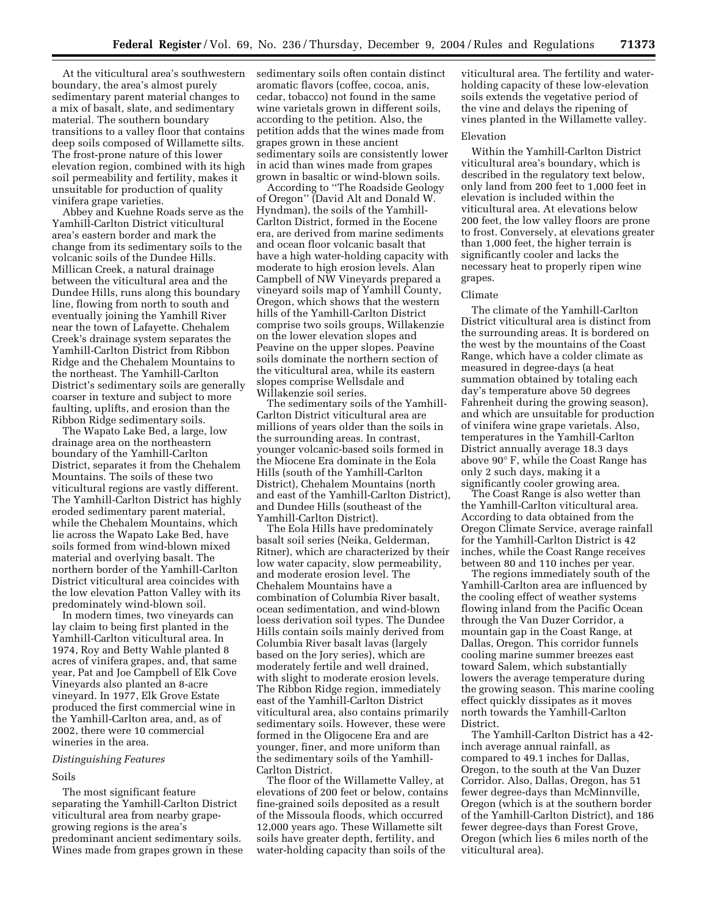At the viticultural area's southwestern boundary, the area's almost purely sedimentary parent material changes to a mix of basalt, slate, and sedimentary material. The southern boundary transitions to a valley floor that contains deep soils composed of Willamette silts. The frost-prone nature of this lower elevation region, combined with its high soil permeability and fertility, makes it unsuitable for production of quality vinifera grape varieties.

Abbey and Kuehne Roads serve as the Yamhill-Carlton District viticultural area's eastern border and mark the change from its sedimentary soils to the volcanic soils of the Dundee Hills. Millican Creek, a natural drainage between the viticultural area and the Dundee Hills, runs along this boundary line, flowing from north to south and eventually joining the Yamhill River near the town of Lafayette. Chehalem Creek's drainage system separates the Yamhill-Carlton District from Ribbon Ridge and the Chehalem Mountains to the northeast. The Yamhill-Carlton District's sedimentary soils are generally coarser in texture and subject to more faulting, uplifts, and erosion than the Ribbon Ridge sedimentary soils.

The Wapato Lake Bed, a large, low drainage area on the northeastern boundary of the Yamhill-Carlton District, separates it from the Chehalem Mountains. The soils of these two viticultural regions are vastly different. The Yamhill-Carlton District has highly eroded sedimentary parent material, while the Chehalem Mountains, which lie across the Wapato Lake Bed, have soils formed from wind-blown mixed material and overlying basalt. The northern border of the Yamhill-Carlton District viticultural area coincides with the low elevation Patton Valley with its predominately wind-blown soil.

In modern times, two vineyards can lay claim to being first planted in the Yamhill-Carlton viticultural area. In 1974, Roy and Betty Wahle planted 8 acres of vinifera grapes, and, that same year, Pat and Joe Campbell of Elk Cove Vineyards also planted an 8-acre vineyard. In 1977, Elk Grove Estate produced the first commercial wine in the Yamhill-Carlton area, and, as of 2002, there were 10 commercial wineries in the area.

### *Distinguishing Features*

#### Soils

The most significant feature separating the Yamhill-Carlton District viticultural area from nearby grapegrowing regions is the area's predominant ancient sedimentary soils. Wines made from grapes grown in these sedimentary soils often contain distinct aromatic flavors (coffee, cocoa, anis, cedar, tobacco) not found in the same wine varietals grown in different soils, according to the petition. Also, the petition adds that the wines made from grapes grown in these ancient sedimentary soils are consistently lower in acid than wines made from grapes grown in basaltic or wind-blown soils.

According to ''The Roadside Geology of Oregon'' (David Alt and Donald W. Hyndman), the soils of the Yamhill-Carlton District, formed in the Eocene era, are derived from marine sediments and ocean floor volcanic basalt that have a high water-holding capacity with moderate to high erosion levels. Alan Campbell of NW Vineyards prepared a vineyard soils map of Yamhill County, Oregon, which shows that the western hills of the Yamhill-Carlton District comprise two soils groups, Willakenzie on the lower elevation slopes and Peavine on the upper slopes. Peavine soils dominate the northern section of the viticultural area, while its eastern slopes comprise Wellsdale and Willakenzie soil series.

The sedimentary soils of the Yamhill-Carlton District viticultural area are millions of years older than the soils in the surrounding areas. In contrast, younger volcanic-based soils formed in the Miocene Era dominate in the Eola Hills (south of the Yamhill-Carlton District), Chehalem Mountains (north and east of the Yamhill-Carlton District), and Dundee Hills (southeast of the Yamhill-Carlton District).

The Eola Hills have predominately basalt soil series (Neika, Gelderman, Ritner), which are characterized by their low water capacity, slow permeability, and moderate erosion level. The Chehalem Mountains have a combination of Columbia River basalt, ocean sedimentation, and wind-blown loess derivation soil types. The Dundee Hills contain soils mainly derived from Columbia River basalt lavas (largely based on the Jory series), which are moderately fertile and well drained, with slight to moderate erosion levels. The Ribbon Ridge region, immediately east of the Yamhill-Carlton District viticultural area, also contains primarily sedimentary soils. However, these were formed in the Oligocene Era and are younger, finer, and more uniform than the sedimentary soils of the Yamhill-Carlton District.

The floor of the Willamette Valley, at elevations of 200 feet or below, contains fine-grained soils deposited as a result of the Missoula floods, which occurred 12,000 years ago. These Willamette silt soils have greater depth, fertility, and water-holding capacity than soils of the

viticultural area. The fertility and waterholding capacity of these low-elevation soils extends the vegetative period of the vine and delays the ripening of vines planted in the Willamette valley.

### Elevation

Within the Yamhill-Carlton District viticultural area's boundary, which is described in the regulatory text below, only land from 200 feet to 1,000 feet in elevation is included within the viticultural area. At elevations below 200 feet, the low valley floors are prone to frost. Conversely, at elevations greater than 1,000 feet, the higher terrain is significantly cooler and lacks the necessary heat to properly ripen wine grapes.

### Climate

The climate of the Yamhill-Carlton District viticultural area is distinct from the surrounding areas. It is bordered on the west by the mountains of the Coast Range, which have a colder climate as measured in degree-days (a heat summation obtained by totaling each day's temperature above 50 degrees Fahrenheit during the growing season), and which are unsuitable for production of vinifera wine grape varietals. Also, temperatures in the Yamhill-Carlton District annually average 18.3 days above 90° F, while the Coast Range has only 2 such days, making it a significantly cooler growing area.

The Coast Range is also wetter than the Yamhill-Carlton viticultural area. According to data obtained from the Oregon Climate Service, average rainfall for the Yamhill-Carlton District is 42 inches, while the Coast Range receives between 80 and 110 inches per year.

The regions immediately south of the Yamhill-Carlton area are influenced by the cooling effect of weather systems flowing inland from the Pacific Ocean through the Van Duzer Corridor, a mountain gap in the Coast Range, at Dallas, Oregon. This corridor funnels cooling marine summer breezes east toward Salem, which substantially lowers the average temperature during the growing season. This marine cooling effect quickly dissipates as it moves north towards the Yamhill-Carlton District.

The Yamhill-Carlton District has a 42 inch average annual rainfall, as compared to 49.1 inches for Dallas, Oregon, to the south at the Van Duzer Corridor. Also, Dallas, Oregon, has 51 fewer degree-days than McMinnville, Oregon (which is at the southern border of the Yamhill-Carlton District), and 186 fewer degree-days than Forest Grove, Oregon (which lies 6 miles north of the viticultural area).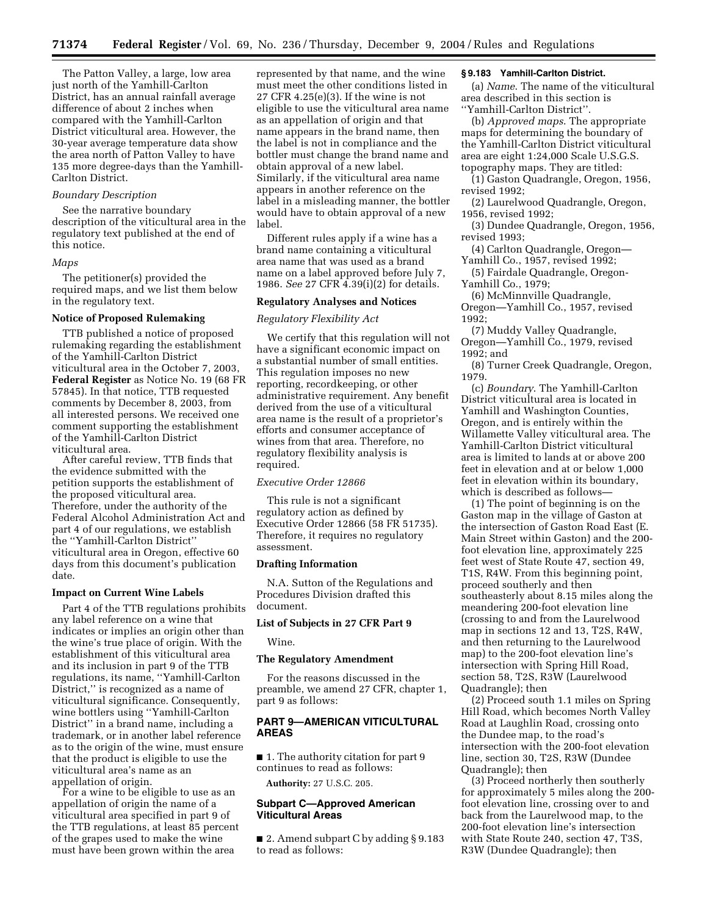The Patton Valley, a large, low area just north of the Yamhill-Carlton District, has an annual rainfall average difference of about 2 inches when compared with the Yamhill-Carlton District viticultural area. However, the 30-year average temperature data show the area north of Patton Valley to have 135 more degree-days than the Yamhill-Carlton District.

## *Boundary Description*

See the narrative boundary description of the viticultural area in the regulatory text published at the end of this notice.

## *Maps*

The petitioner(s) provided the required maps, and we list them below in the regulatory text.

### **Notice of Proposed Rulemaking**

TTB published a notice of proposed rulemaking regarding the establishment of the Yamhill-Carlton District viticultural area in the October 7, 2003, **Federal Register** as Notice No. 19 (68 FR 57845). In that notice, TTB requested comments by December 8, 2003, from all interested persons. We received one comment supporting the establishment of the Yamhill-Carlton District viticultural area.

After careful review, TTB finds that the evidence submitted with the petition supports the establishment of the proposed viticultural area. Therefore, under the authority of the Federal Alcohol Administration Act and part 4 of our regulations, we establish the ''Yamhill-Carlton District'' viticultural area in Oregon, effective 60 days from this document's publication date.

#### **Impact on Current Wine Labels**

Part 4 of the TTB regulations prohibits any label reference on a wine that indicates or implies an origin other than the wine's true place of origin. With the establishment of this viticultural area and its inclusion in part 9 of the TTB regulations, its name, ''Yamhill-Carlton District,'' is recognized as a name of viticultural significance. Consequently, wine bottlers using ''Yamhill-Carlton District'' in a brand name, including a trademark, or in another label reference as to the origin of the wine, must ensure that the product is eligible to use the viticultural area's name as an appellation of origin.

For a wine to be eligible to use as an appellation of origin the name of a viticultural area specified in part 9 of the TTB regulations, at least 85 percent of the grapes used to make the wine must have been grown within the area

represented by that name, and the wine must meet the other conditions listed in 27 CFR 4.25(e)(3). If the wine is not eligible to use the viticultural area name as an appellation of origin and that name appears in the brand name, then the label is not in compliance and the bottler must change the brand name and obtain approval of a new label. Similarly, if the viticultural area name appears in another reference on the label in a misleading manner, the bottler would have to obtain approval of a new label.

Different rules apply if a wine has a brand name containing a viticultural area name that was used as a brand name on a label approved before July 7, 1986. *See* 27 CFR 4.39(i)(2) for details.

### **Regulatory Analyses and Notices**

## *Regulatory Flexibility Act*

We certify that this regulation will not have a significant economic impact on a substantial number of small entities. This regulation imposes no new reporting, recordkeeping, or other administrative requirement. Any benefit derived from the use of a viticultural area name is the result of a proprietor's efforts and consumer acceptance of wines from that area. Therefore, no regulatory flexibility analysis is required.

## *Executive Order 12866*

This rule is not a significant regulatory action as defined by Executive Order 12866 (58 FR 51735). Therefore, it requires no regulatory assessment.

### **Drafting Information**

N.A. Sutton of the Regulations and Procedures Division drafted this document.

## **List of Subjects in 27 CFR Part 9**

Wine.

### **The Regulatory Amendment**

For the reasons discussed in the preamble, we amend 27 CFR, chapter 1, part 9 as follows:

## **PART 9—AMERICAN VITICULTURAL AREAS**

■ 1. The authority citation for part 9 continues to read as follows:

**Authority:** 27 U.S.C. 205.

#### **Subpart C—Approved American Viticultural Areas**

■ 2. Amend subpart C by adding § 9.183 to read as follows:

## **§ 9.183 Yamhill-Carlton District.**

(a) *Name*. The name of the viticultural area described in this section is ''Yamhill-Carlton District''.

(b) *Approved maps*. The appropriate maps for determining the boundary of the Yamhill-Carlton District viticultural area are eight 1:24,000 Scale U.S.G.S. topography maps. They are titled:

(1) Gaston Quadrangle, Oregon, 1956, revised 1992;

(2) Laurelwood Quadrangle, Oregon, 1956, revised 1992;

(3) Dundee Quadrangle, Oregon, 1956, revised 1993;

(4) Carlton Quadrangle, Oregon— Yamhill Co., 1957, revised 1992;

(5) Fairdale Quadrangle, Oregon-Yamhill Co., 1979;

(6) McMinnville Quadrangle, Oregon—Yamhill Co., 1957, revised 1992;

(7) Muddy Valley Quadrangle, Oregon—Yamhill Co., 1979, revised 1992; and

(8) Turner Creek Quadrangle, Oregon, 1979.

(c) *Boundary*. The Yamhill-Carlton District viticultural area is located in Yamhill and Washington Counties, Oregon, and is entirely within the Willamette Valley viticultural area. The Yamhill-Carlton District viticultural area is limited to lands at or above 200 feet in elevation and at or below 1,000 feet in elevation within its boundary, which is described as follows—

(1) The point of beginning is on the Gaston map in the village of Gaston at the intersection of Gaston Road East (E. Main Street within Gaston) and the 200 foot elevation line, approximately 225 feet west of State Route 47, section 49, T1S, R4W. From this beginning point, proceed southerly and then southeasterly about 8.15 miles along the meandering 200-foot elevation line (crossing to and from the Laurelwood map in sections 12 and 13, T2S, R4W, and then returning to the Laurelwood map) to the 200-foot elevation line's intersection with Spring Hill Road, section 58, T2S, R3W (Laurelwood Quadrangle); then

(2) Proceed south 1.1 miles on Spring Hill Road, which becomes North Valley Road at Laughlin Road, crossing onto the Dundee map, to the road's intersection with the 200-foot elevation line, section 30, T2S, R3W (Dundee Quadrangle); then

(3) Proceed northerly then southerly for approximately 5 miles along the 200 foot elevation line, crossing over to and back from the Laurelwood map, to the 200-foot elevation line's intersection with State Route 240, section 47, T3S, R3W (Dundee Quadrangle); then